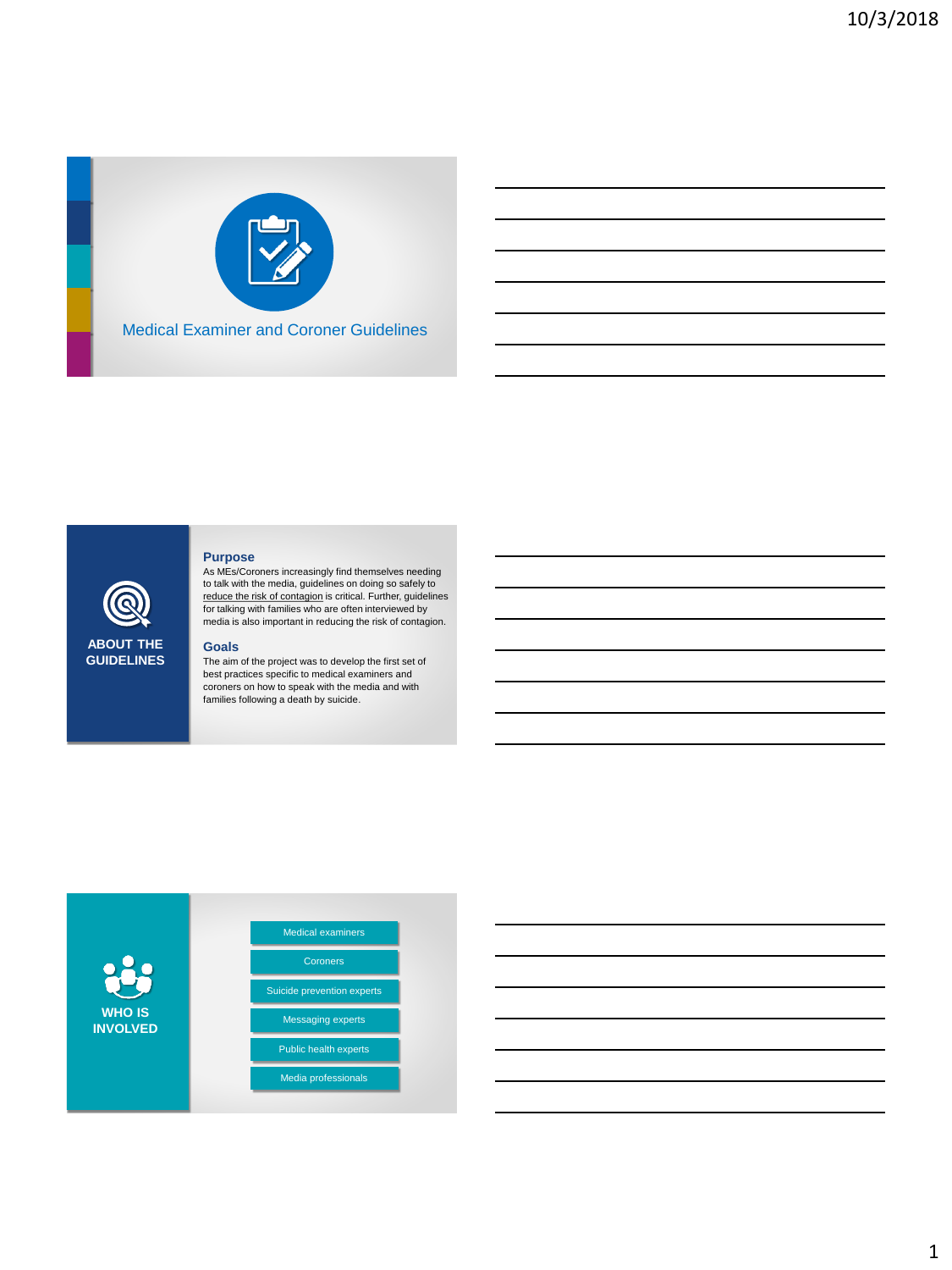

## **Purpose**

As MEs/Coroners increasingly find themselves needing to talk with the media, guidelines on doing so safely to reduce the risk of contagion is critical. Further, guidelines for talking with families who are often interviewed by media is also important in reducing the risk of contagion.

## **Goals**

**ABOUT THE GUIDELINES**

The aim of the project was to develop the first set of best practices specific to medical examiners and coroners on how to speak with the media and with families following a death by suicide.

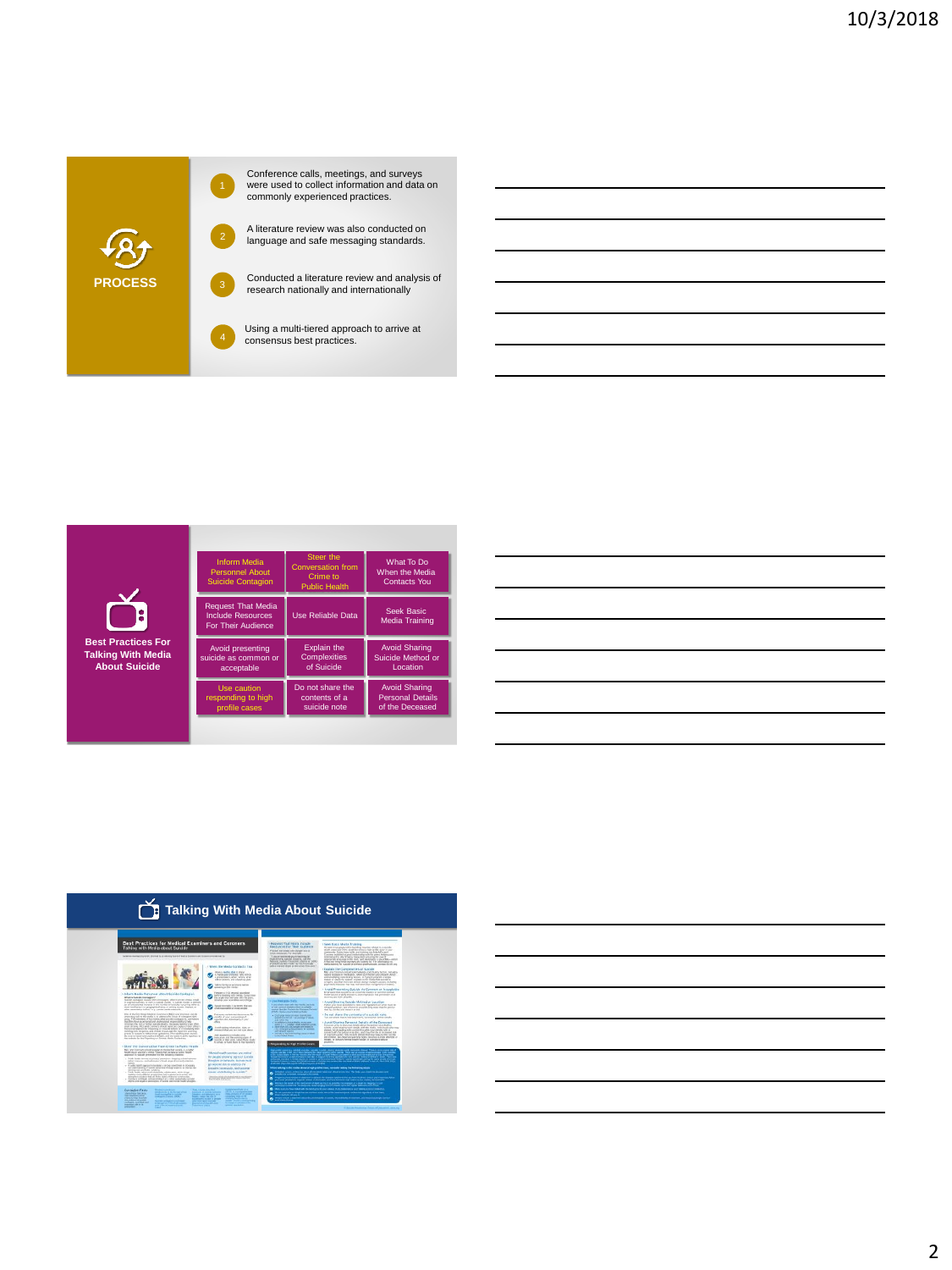

Conference calls, meetings, and surveys were used to collect information and data on commonly experienced practices.

**EXECUTE:** A literature review was also conducted on language and safe messaging standards.

Conducted a literature review and analysis of

Using a multi-tiered approach to arrive at consensus best practices. 4

| <b>Best Practices For</b><br><b>Talking With Media</b><br><b>About Suicide</b> | Inform Media<br><b>Personnel About</b><br><b>Suicide Contagion</b>          | Steer the<br><b>Conversation from</b><br>Crime to<br><b>Public Health</b> | What To Do<br>When the Media<br><b>Contacts You</b>                |
|--------------------------------------------------------------------------------|-----------------------------------------------------------------------------|---------------------------------------------------------------------------|--------------------------------------------------------------------|
|                                                                                | <b>Request That Media</b><br>Include Resources<br><b>For Their Audience</b> | Use Reliable Data                                                         | Seek Basic<br><b>Media Training</b>                                |
|                                                                                | Avoid presenting<br>suicide as common or<br>acceptable                      | Explain the<br>Complexities<br>of Suicide                                 | <b>Avoid Sharing</b><br>Suicide Method or<br><b>Location</b>       |
|                                                                                | Use caution<br>responding to high<br>profile cases                          | Do not share the<br>contents of a<br>suicide note                         | <b>Avoid Sharing</b><br><b>Personal Details</b><br>of the Deceased |
|                                                                                |                                                                             |                                                                           |                                                                    |

|  |  | ,我们也不会有什么?""我们的话,我们也不会有什么?""我们的话,我们也不会有什么?""我们的话,我们也不会有什么?""我们的话,我们也不会有什么?""我们的话                                      |
|--|--|-----------------------------------------------------------------------------------------------------------------------|
|  |  | <u> 1989 - Andrea Santa Andrea Andrea Andrea Andrea Andrea Andrea Andrea Andrea Andrea Andrea Andrea Andrea Andr</u>  |
|  |  | <u> 1989 - Andrea Santa Andrea Andrea Andrea Andrea Andrea Andrea Andrea Andrea Andrea Andrea Andrea Andrea Andr</u>  |
|  |  |                                                                                                                       |
|  |  | <u> 1989 - Johann Stoff, amerikansk politiker (d. 1989)</u>                                                           |
|  |  | <u> 1989 - Johann Stoff, deutscher Stoff, der Stoff, der Stoff, der Stoff, der Stoff, der Stoff, der Stoff, der S</u> |
|  |  |                                                                                                                       |
|  |  |                                                                                                                       |